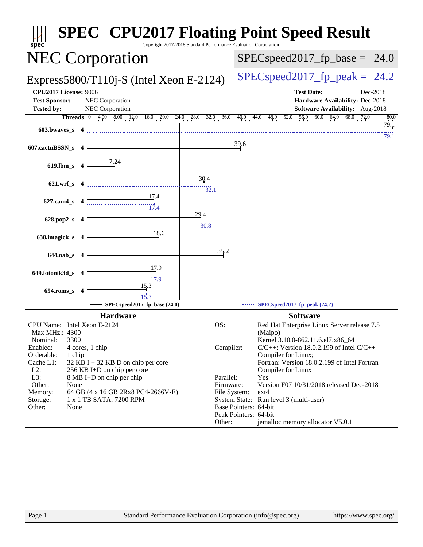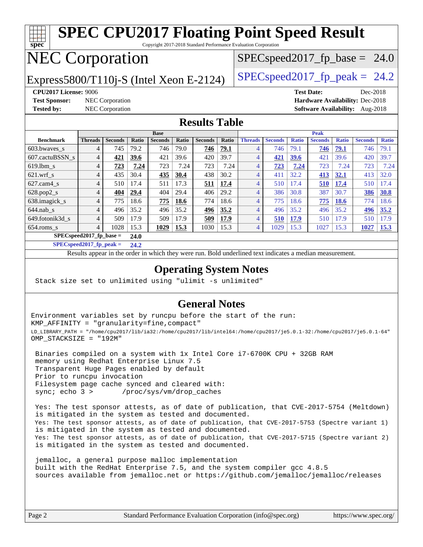### **[spec](http://www.spec.org/) [SPEC CPU2017 Floating Point Speed Result](http://www.spec.org/auto/cpu2017/Docs/result-fields.html#SPECCPU2017FloatingPointSpeedResult)** Copyright 2017-2018 Standard Performance Evaluation Corporation NEC Corporation Express5800/T110j-S (Intel Xeon E-2124)  $\left|$  [SPECspeed2017\\_fp\\_peak =](http://www.spec.org/auto/cpu2017/Docs/result-fields.html#SPECspeed2017fppeak) 24.2  $SPECspeed2017_fp\_base = 24.0$ **[CPU2017 License:](http://www.spec.org/auto/cpu2017/Docs/result-fields.html#CPU2017License)** 9006 **[Test Date:](http://www.spec.org/auto/cpu2017/Docs/result-fields.html#TestDate)** Dec-2018 **[Test Sponsor:](http://www.spec.org/auto/cpu2017/Docs/result-fields.html#TestSponsor)** NEC Corporation **[Hardware Availability:](http://www.spec.org/auto/cpu2017/Docs/result-fields.html#HardwareAvailability)** Dec-2018

**[Tested by:](http://www.spec.org/auto/cpu2017/Docs/result-fields.html#Testedby)** NEC Corporation **[Software Availability:](http://www.spec.org/auto/cpu2017/Docs/result-fields.html#SoftwareAvailability)** Aug-2018

### **[Results Table](http://www.spec.org/auto/cpu2017/Docs/result-fields.html#ResultsTable)**

|                           | <b>Base</b>    |                |             |                |             | <b>Peak</b>    |       |                |                |              |                |              |                |              |
|---------------------------|----------------|----------------|-------------|----------------|-------------|----------------|-------|----------------|----------------|--------------|----------------|--------------|----------------|--------------|
| <b>Benchmark</b>          | <b>Threads</b> | <b>Seconds</b> | Ratio       | <b>Seconds</b> | Ratio       | <b>Seconds</b> | Ratio | <b>Threads</b> | <b>Seconds</b> | <b>Ratio</b> | <b>Seconds</b> | <b>Ratio</b> | <b>Seconds</b> | <b>Ratio</b> |
| 603.bwayes s              | $\overline{4}$ | 745            | 79.2        | 746            | 79.0        | 746            | 79.1  | 4              | 746            | 79.1         | 746            | 79.1         | 746            | 79.1         |
| 607.cactuBSSN s           | $\overline{4}$ | 421            | 39.6        | 421            | 39.6        | 420            | 39.7  | 4              | 421            | 39.6         | 421            | 39.6         | 420            | 39.7         |
| $619.1$ bm s              | $\overline{4}$ | 723            | 7.24        | 723            | 7.24        | 723            | 7.24  | 4              | 723            | 7.24         | 723            | 7.24         | 723            | 7.24         |
| $621$ .wrf s              | $\overline{4}$ | 435            | 30.4        | 435            | 30.4        | 438            | 30.2  | 4              | 411            | 32.2         | 413            | 32.1         | 413            | 32.0         |
| $627$ .cam4 s             | $\overline{4}$ | 510            | 17.4        | 511            | 17.3        | 511            | 17.4  | 4              | 510            | 17.4         | 510            | 17.4         | 510            | 17.4         |
| $628.pop2_s$              | 4              | 404            | 29.4        | 404            | 29.4        | 406            | 29.2  | 4              | 386            | 30.8         | 387            | 30.7         | 386            | 30.8         |
| 638.imagick_s             | 4              | 775            | 18.6        | 775            | 18.6        | 774            | 18.6  | 4              | 775            | 18.6         | 775            | <b>18.6</b>  | 774            | 18.6         |
| $644$ .nab s              | 4              | 496            | 35.2        | 496            | 35.2        | 496            | 35.2  | 4              | 496            | 35.2         | 496            | 35.2         | 496            | 35.2         |
| 649.fotonik3d s           | 4              | 509            | 17.9        | 509            | 17.9        | 509            | 17.9  | 4              | 510            | 17.9         | 510            | 7.9          | 510            | 17.9         |
| $654$ .roms s             | 4              | 1028           | 15.3        | 1029           | <b>15.3</b> | 1030           | 15.3  | 4              | 1029           | 15.3         | 1027           | 15.3         | 1027           | <b>15.3</b>  |
| $SPECspeed2017$ fp base = |                |                | <b>24.0</b> |                |             |                |       |                |                |              |                |              |                |              |

**[SPECspeed2017\\_fp\\_peak =](http://www.spec.org/auto/cpu2017/Docs/result-fields.html#SPECspeed2017fppeak) 24.2**

Results appear in the [order in which they were run.](http://www.spec.org/auto/cpu2017/Docs/result-fields.html#RunOrder) Bold underlined text [indicates a median measurement](http://www.spec.org/auto/cpu2017/Docs/result-fields.html#Median).

### **[Operating System Notes](http://www.spec.org/auto/cpu2017/Docs/result-fields.html#OperatingSystemNotes)**

Stack size set to unlimited using "ulimit -s unlimited"

### **[General Notes](http://www.spec.org/auto/cpu2017/Docs/result-fields.html#GeneralNotes)**

Environment variables set by runcpu before the start of the run: KMP\_AFFINITY = "granularity=fine,compact" LD\_LIBRARY\_PATH = "/home/cpu2017/lib/ia32:/home/cpu2017/lib/intel64:/home/cpu2017/je5.0.1-32:/home/cpu2017/je5.0.1-64" OMP\_STACKSIZE = "192M"

 Binaries compiled on a system with 1x Intel Core i7-6700K CPU + 32GB RAM memory using Redhat Enterprise Linux 7.5 Transparent Huge Pages enabled by default Prior to runcpu invocation Filesystem page cache synced and cleared with: sync; echo 3 > /proc/sys/vm/drop\_caches

 Yes: The test sponsor attests, as of date of publication, that CVE-2017-5754 (Meltdown) is mitigated in the system as tested and documented. Yes: The test sponsor attests, as of date of publication, that CVE-2017-5753 (Spectre variant 1) is mitigated in the system as tested and documented. Yes: The test sponsor attests, as of date of publication, that CVE-2017-5715 (Spectre variant 2) is mitigated in the system as tested and documented.

 jemalloc, a general purpose malloc implementation built with the RedHat Enterprise 7.5, and the system compiler gcc 4.8.5 sources available from jemalloc.net or <https://github.com/jemalloc/jemalloc/releases>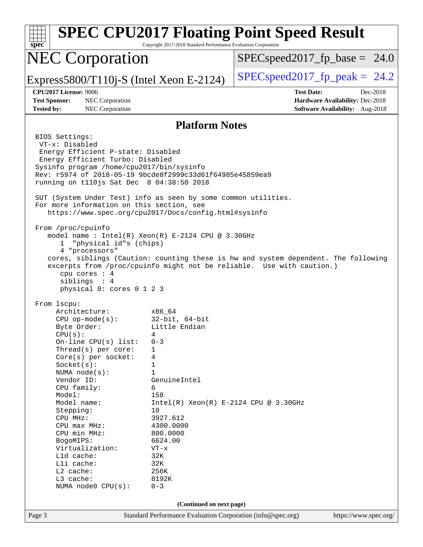| <b>SPEC CPU2017 Floating Point Speed Result</b><br>spec<br>Copyright 2017-2018 Standard Performance Evaluation Corporation                                                                                                                                                                                                                                                                                                                                                                                                                                                                                                                                                                                                                                                                                                                                                                                                                                                                                                                                                                                                                                                                                                                                                                                                                |                                                                                                     |  |  |  |  |  |  |  |
|-------------------------------------------------------------------------------------------------------------------------------------------------------------------------------------------------------------------------------------------------------------------------------------------------------------------------------------------------------------------------------------------------------------------------------------------------------------------------------------------------------------------------------------------------------------------------------------------------------------------------------------------------------------------------------------------------------------------------------------------------------------------------------------------------------------------------------------------------------------------------------------------------------------------------------------------------------------------------------------------------------------------------------------------------------------------------------------------------------------------------------------------------------------------------------------------------------------------------------------------------------------------------------------------------------------------------------------------|-----------------------------------------------------------------------------------------------------|--|--|--|--|--|--|--|
| <b>NEC Corporation</b>                                                                                                                                                                                                                                                                                                                                                                                                                                                                                                                                                                                                                                                                                                                                                                                                                                                                                                                                                                                                                                                                                                                                                                                                                                                                                                                    | $SPEC speed2017_f p\_base = 24.0$                                                                   |  |  |  |  |  |  |  |
| Express5800/T110j-S (Intel Xeon E-2124)                                                                                                                                                                                                                                                                                                                                                                                                                                                                                                                                                                                                                                                                                                                                                                                                                                                                                                                                                                                                                                                                                                                                                                                                                                                                                                   | $SPEC speed2017fp peak = 24.2$                                                                      |  |  |  |  |  |  |  |
| CPU2017 License: 9006<br><b>Test Sponsor:</b><br>NEC Corporation<br><b>Tested by:</b><br>NEC Corporation                                                                                                                                                                                                                                                                                                                                                                                                                                                                                                                                                                                                                                                                                                                                                                                                                                                                                                                                                                                                                                                                                                                                                                                                                                  | <b>Test Date:</b><br>Dec-2018<br>Hardware Availability: Dec-2018<br>Software Availability: Aug-2018 |  |  |  |  |  |  |  |
| <b>Platform Notes</b>                                                                                                                                                                                                                                                                                                                                                                                                                                                                                                                                                                                                                                                                                                                                                                                                                                                                                                                                                                                                                                                                                                                                                                                                                                                                                                                     |                                                                                                     |  |  |  |  |  |  |  |
| BIOS Settings:<br>VT-x: Disabled<br>Energy Efficient P-state: Disabled<br>Energy Efficient Turbo: Disabled<br>Sysinfo program /home/cpu2017/bin/sysinfo<br>Rev: r5974 of 2018-05-19 9bcde8f2999c33d61f64985e45859ea9<br>running on t110 js Sat Dec 8 04:38:50 2018<br>SUT (System Under Test) info as seen by some common utilities.<br>For more information on this section, see<br>https://www.spec.org/cpu2017/Docs/config.html#sysinfo<br>From /proc/cpuinfo<br>model name: Intel(R) Xeon(R) E-2124 CPU @ 3.30GHz<br>"physical id"s (chips)<br>ı<br>4 "processors"<br>cores, siblings (Caution: counting these is hw and system dependent. The following<br>excerpts from /proc/cpuinfo might not be reliable. Use with caution.)<br>cpu cores : 4<br>siblings : 4<br>physical 0: cores 0 1 2 3<br>From 1scpu:<br>Architecture:<br>x86 64<br>$CPU$ op-mode(s):<br>32-bit, 64-bit<br>Little Endian<br>Byte Order:<br>CPU(s):<br>4<br>On-line CPU(s) list:<br>$0 - 3$<br>Thread(s) per core:<br>1<br>$Core(s)$ per socket:<br>4<br>Socket(s):<br>1<br>1<br>NUMA $node(s)$ :<br>Vendor ID:<br>GenuineIntel<br>CPU family:<br>6<br>Model:<br>158<br>Model name:<br>$Intel(R)$ Xeon $(R)$ E-2124 CPU @ 3.30GHz<br>10<br>Stepping:<br>CPU MHz:<br>3927.612<br>CPU max MHz:<br>4300.0000<br>CPU min MHz:<br>800.0000<br>6624.00<br>BogoMIPS: |                                                                                                     |  |  |  |  |  |  |  |
| Virtualization:<br>$VT - x$<br>L1d cache:<br>32K<br>Lli cache:<br>32K                                                                                                                                                                                                                                                                                                                                                                                                                                                                                                                                                                                                                                                                                                                                                                                                                                                                                                                                                                                                                                                                                                                                                                                                                                                                     |                                                                                                     |  |  |  |  |  |  |  |
| L2 cache:<br>256K<br>L3 cache:<br>8192K<br>$0 - 3$<br>NUMA node0 CPU(s):                                                                                                                                                                                                                                                                                                                                                                                                                                                                                                                                                                                                                                                                                                                                                                                                                                                                                                                                                                                                                                                                                                                                                                                                                                                                  |                                                                                                     |  |  |  |  |  |  |  |
| (Continued on next page)                                                                                                                                                                                                                                                                                                                                                                                                                                                                                                                                                                                                                                                                                                                                                                                                                                                                                                                                                                                                                                                                                                                                                                                                                                                                                                                  |                                                                                                     |  |  |  |  |  |  |  |
| Standard Performance Evaluation Corporation (info@spec.org)<br>Page 3                                                                                                                                                                                                                                                                                                                                                                                                                                                                                                                                                                                                                                                                                                                                                                                                                                                                                                                                                                                                                                                                                                                                                                                                                                                                     | https://www.spec.org/                                                                               |  |  |  |  |  |  |  |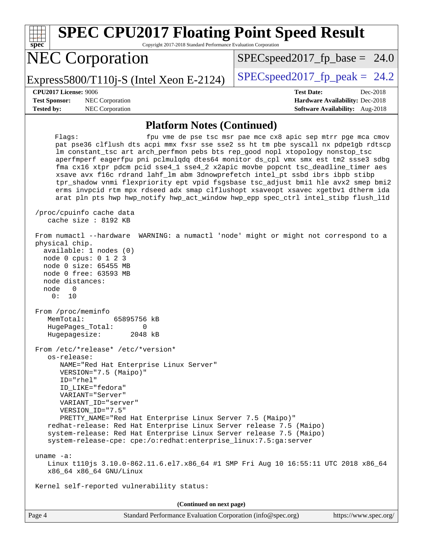| <b>SPEC CPU2017 Floating Point Speed Result</b><br>Copyright 2017-2018 Standard Performance Evaluation Corporation<br>spec <sup>®</sup>                                                                                                                                                                                                                                                                                                                                                                                                                                                                                                                                                                    |                                                                                                     |  |  |  |  |  |
|------------------------------------------------------------------------------------------------------------------------------------------------------------------------------------------------------------------------------------------------------------------------------------------------------------------------------------------------------------------------------------------------------------------------------------------------------------------------------------------------------------------------------------------------------------------------------------------------------------------------------------------------------------------------------------------------------------|-----------------------------------------------------------------------------------------------------|--|--|--|--|--|
| <b>NEC Corporation</b>                                                                                                                                                                                                                                                                                                                                                                                                                                                                                                                                                                                                                                                                                     | $SPEC speed2017_f p\_base = 24.0$<br>$SPEC speed2017_fp\_peak = 24.2$                               |  |  |  |  |  |
| Express5800/T110j-S (Intel Xeon E-2124)                                                                                                                                                                                                                                                                                                                                                                                                                                                                                                                                                                                                                                                                    |                                                                                                     |  |  |  |  |  |
| CPU2017 License: 9006<br><b>Test Sponsor:</b><br>NEC Corporation<br><b>Tested by:</b><br>NEC Corporation                                                                                                                                                                                                                                                                                                                                                                                                                                                                                                                                                                                                   | <b>Test Date:</b><br>Dec-2018<br>Hardware Availability: Dec-2018<br>Software Availability: Aug-2018 |  |  |  |  |  |
| <b>Platform Notes (Continued)</b>                                                                                                                                                                                                                                                                                                                                                                                                                                                                                                                                                                                                                                                                          |                                                                                                     |  |  |  |  |  |
| Flags:<br>pat pse36 clflush dts acpi mmx fxsr sse sse2 ss ht tm pbe syscall nx pdpelgb rdtscp<br>lm constant_tsc art arch_perfmon pebs bts rep_good nopl xtopology nonstop_tsc<br>aperfmperf eagerfpu pni pclmulqdq dtes64 monitor ds_cpl vmx smx est tm2 ssse3 sdbg<br>fma cx16 xtpr pdcm pcid sse4_1 sse4_2 x2apic movbe popcnt tsc_deadline_timer aes<br>xsave avx fl6c rdrand lahf_lm abm 3dnowprefetch intel_pt ssbd ibrs ibpb stibp<br>tpr_shadow vnmi flexpriority ept vpid fsgsbase tsc_adjust bmil hle avx2 smep bmi2<br>erms invpcid rtm mpx rdseed adx smap clflushopt xsaveopt xsavec xgetbv1 dtherm ida<br>arat pln pts hwp hwp_notify hwp_act_window hwp_epp spec_ctrl intel_stibp flush_l1d | fpu vme de pse tsc msr pae mce cx8 apic sep mtrr pge mca cmov                                       |  |  |  |  |  |
| /proc/cpuinfo cache data<br>cache size : 8192 KB                                                                                                                                                                                                                                                                                                                                                                                                                                                                                                                                                                                                                                                           |                                                                                                     |  |  |  |  |  |
| From numactl --hardware<br>physical chip.<br>available: 1 nodes (0)<br>node 0 cpus: 0 1 2 3<br>node 0 size: 65455 MB<br>node 0 free: 63593 MB<br>node distances:<br>$\mathbf 0$<br>node<br>0:<br>10                                                                                                                                                                                                                                                                                                                                                                                                                                                                                                        | WARNING: a numactl 'node' might or might not correspond to a                                        |  |  |  |  |  |
| From /proc/meminfo<br>MemTotal:<br>65895756 kB<br>HugePages_Total:<br>0<br>Hugepagesize: 2048 kB                                                                                                                                                                                                                                                                                                                                                                                                                                                                                                                                                                                                           |                                                                                                     |  |  |  |  |  |
| From /etc/*release* /etc/*version*<br>os-release:<br>NAME="Red Hat Enterprise Linux Server"<br>VERSION="7.5 (Maipo)"<br>ID="rhel"<br>ID LIKE="fedora"<br>VARIANT="Server"<br>VARIANT_ID="server"<br>VERSION ID="7.5"<br>PRETTY NAME="Red Hat Enterprise Linux Server 7.5 (Maipo)"<br>redhat-release: Red Hat Enterprise Linux Server release 7.5 (Maipo)<br>system-release: Red Hat Enterprise Linux Server release 7.5 (Maipo)<br>system-release-cpe: cpe:/o:redhat:enterprise_linux:7.5:ga:server                                                                                                                                                                                                        |                                                                                                     |  |  |  |  |  |
| uname $-a$ :<br>Linux t110js 3.10.0-862.11.6.el7.x86_64 #1 SMP Fri Aug 10 16:55:11 UTC 2018 x86_64<br>x86_64 x86_64 GNU/Linux                                                                                                                                                                                                                                                                                                                                                                                                                                                                                                                                                                              |                                                                                                     |  |  |  |  |  |
| Kernel self-reported vulnerability status:                                                                                                                                                                                                                                                                                                                                                                                                                                                                                                                                                                                                                                                                 |                                                                                                     |  |  |  |  |  |
| (Continued on next page)                                                                                                                                                                                                                                                                                                                                                                                                                                                                                                                                                                                                                                                                                   |                                                                                                     |  |  |  |  |  |

Page 4 Standard Performance Evaluation Corporation [\(info@spec.org\)](mailto:info@spec.org) <https://www.spec.org/>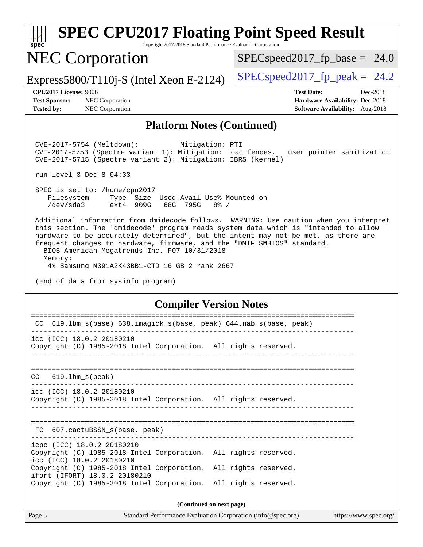| <b>SPEC CPU2017 Floating Point Speed Result</b><br>Copyright 2017-2018 Standard Performance Evaluation Corporation<br>$spec^*$                                                                            |                                        |  |  |  |  |  |  |
|-----------------------------------------------------------------------------------------------------------------------------------------------------------------------------------------------------------|----------------------------------------|--|--|--|--|--|--|
| <b>NEC Corporation</b>                                                                                                                                                                                    | $SPEC speed2017_fp\_base = 24.0$       |  |  |  |  |  |  |
| Express5800/T110 $i$ -S (Intel Xeon E-2124)                                                                                                                                                               | $SPEC speed2017_fp\_peak = 24.2$       |  |  |  |  |  |  |
| <b>CPU2017 License: 9006</b>                                                                                                                                                                              | <b>Test Date:</b><br>Dec-2018          |  |  |  |  |  |  |
| <b>Test Sponsor:</b><br>NEC Corporation                                                                                                                                                                   | <b>Hardware Availability: Dec-2018</b> |  |  |  |  |  |  |
| <b>Tested by:</b><br><b>NEC</b> Corporation                                                                                                                                                               | <b>Software Availability:</b> Aug-2018 |  |  |  |  |  |  |
| <b>Platform Notes (Continued)</b>                                                                                                                                                                         |                                        |  |  |  |  |  |  |
| Mitigation: PTI<br>$CVE-2017-5754$ (Meltdown):<br>CVE-2017-5753 (Spectre variant 1): Mitigation: Load fences, __user pointer sanitization<br>CVE-2017-5715 (Spectre variant 2): Mitigation: IBRS (kernel) |                                        |  |  |  |  |  |  |
| run-level $3$ Dec $8$ $04:33$                                                                                                                                                                             |                                        |  |  |  |  |  |  |
| SPEC is set to: /home/cpu2017                                                                                                                                                                             |                                        |  |  |  |  |  |  |

Filesystem Type Size Used Avail Use% Mounted on<br>
/dev/sda3 ext4 909G 68G 795G 8% / /dev/sda3 ext4 909G 68G 795G 8% /

 Additional information from dmidecode follows. WARNING: Use caution when you interpret this section. The 'dmidecode' program reads system data which is "intended to allow hardware to be accurately determined", but the intent may not be met, as there are frequent changes to hardware, firmware, and the "DMTF SMBIOS" standard. BIOS American Megatrends Inc. F07 10/31/2018

Memory:

4x Samsung M391A2K43BB1-CTD 16 GB 2 rank 2667

(End of data from sysinfo program)

### **[Compiler Version Notes](http://www.spec.org/auto/cpu2017/Docs/result-fields.html#CompilerVersionNotes)**

| 619.1bm_s(base) 638.imagick_s(base, peak) 644.nab_s(base, peak)<br>CC                        |  |  |  |  |  |  |  |
|----------------------------------------------------------------------------------------------|--|--|--|--|--|--|--|
| icc (ICC) 18.0.2 20180210                                                                    |  |  |  |  |  |  |  |
| Copyright (C) 1985-2018 Intel Corporation. All rights reserved.                              |  |  |  |  |  |  |  |
|                                                                                              |  |  |  |  |  |  |  |
| $CC$ 619.1bm $s$ (peak)                                                                      |  |  |  |  |  |  |  |
|                                                                                              |  |  |  |  |  |  |  |
| icc (ICC) 18.0.2 20180210                                                                    |  |  |  |  |  |  |  |
| Copyright (C) 1985-2018 Intel Corporation. All rights reserved.                              |  |  |  |  |  |  |  |
|                                                                                              |  |  |  |  |  |  |  |
|                                                                                              |  |  |  |  |  |  |  |
| FC 607.cactuBSSN s(base, peak)                                                               |  |  |  |  |  |  |  |
| icpc (ICC) 18.0.2 20180210                                                                   |  |  |  |  |  |  |  |
| Copyright (C) 1985-2018 Intel Corporation. All rights reserved.<br>icc (ICC) 18.0.2 20180210 |  |  |  |  |  |  |  |
| Copyright (C) 1985-2018 Intel Corporation. All rights reserved.                              |  |  |  |  |  |  |  |
| ifort (IFORT) 18.0.2 20180210                                                                |  |  |  |  |  |  |  |
| Copyright (C) 1985-2018 Intel Corporation. All rights reserved.                              |  |  |  |  |  |  |  |
|                                                                                              |  |  |  |  |  |  |  |
| (Continued on next page)                                                                     |  |  |  |  |  |  |  |

Page 5 Standard Performance Evaluation Corporation [\(info@spec.org\)](mailto:info@spec.org) <https://www.spec.org/>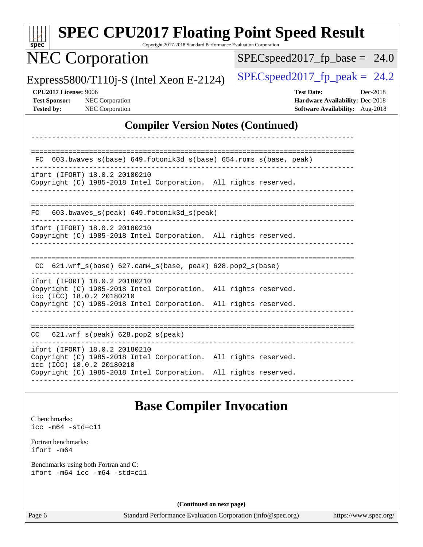| $spec^*$                                                           | <b>SPEC CPU2017 Floating Point Speed Result</b>                                                                                                                                                  | Copyright 2017-2018 Standard Performance Evaluation Corporation |                                                             |                                                                                         |                       |          |
|--------------------------------------------------------------------|--------------------------------------------------------------------------------------------------------------------------------------------------------------------------------------------------|-----------------------------------------------------------------|-------------------------------------------------------------|-----------------------------------------------------------------------------------------|-----------------------|----------|
|                                                                    | <b>NEC Corporation</b>                                                                                                                                                                           |                                                                 | $SPEC speed2017_fp\_base = 24.0$                            |                                                                                         |                       |          |
|                                                                    | Express5800/T110j-S (Intel Xeon E-2124)                                                                                                                                                          |                                                                 | $SPEC speed2017_fp\_peak = 24.2$                            |                                                                                         |                       |          |
| CPU2017 License: 9006<br><b>Test Sponsor:</b><br><b>Tested by:</b> | NEC Corporation<br>NEC Corporation                                                                                                                                                               |                                                                 |                                                             | <b>Test Date:</b><br>Hardware Availability: Dec-2018<br>Software Availability: Aug-2018 |                       | Dec-2018 |
|                                                                    |                                                                                                                                                                                                  |                                                                 | <b>Compiler Version Notes (Continued)</b>                   |                                                                                         |                       |          |
|                                                                    |                                                                                                                                                                                                  |                                                                 |                                                             |                                                                                         |                       |          |
| FC.                                                                | 603.bwaves_s(base) 649.fotonik3d_s(base) 654.roms_s(base, peak)                                                                                                                                  |                                                                 |                                                             |                                                                                         |                       |          |
|                                                                    | ifort (IFORT) 18.0.2 20180210<br>Copyright (C) 1985-2018 Intel Corporation. All rights reserved.                                                                                                 |                                                                 |                                                             |                                                                                         |                       |          |
| FC                                                                 | 603.bwaves_s(peak) 649.fotonik3d_s(peak)                                                                                                                                                         |                                                                 |                                                             |                                                                                         |                       |          |
|                                                                    | ifort (IFORT) 18.0.2 20180210<br>Copyright (C) 1985-2018 Intel Corporation. All rights reserved.                                                                                                 |                                                                 |                                                             |                                                                                         |                       |          |
|                                                                    | $CC$ 621.wrf_s(base) 627.cam4_s(base, peak) 628.pop2_s(base)                                                                                                                                     |                                                                 |                                                             |                                                                                         |                       |          |
|                                                                    | ifort (IFORT) 18.0.2 20180210<br>Copyright (C) 1985-2018 Intel Corporation. All rights reserved.<br>icc (ICC) 18.0.2 20180210<br>Copyright (C) 1985-2018 Intel Corporation. All rights reserved. |                                                                 |                                                             |                                                                                         |                       |          |
|                                                                    |                                                                                                                                                                                                  |                                                                 |                                                             |                                                                                         |                       |          |
|                                                                    | CC 621.wrf_s(peak) 628.pop2_s(peak)                                                                                                                                                              |                                                                 |                                                             |                                                                                         |                       |          |
|                                                                    | ifort (IFORT) 18.0.2 20180210<br>Copyright (C) 1985-2018 Intel Corporation. All rights reserved.<br>icc (ICC) 18.0.2 20180210                                                                    |                                                                 |                                                             |                                                                                         |                       |          |
|                                                                    | Copyright (C) 1985-2018 Intel Corporation. All rights reserved.                                                                                                                                  |                                                                 |                                                             |                                                                                         |                       |          |
|                                                                    |                                                                                                                                                                                                  | <b>Base Compiler Invocation</b>                                 |                                                             |                                                                                         |                       |          |
| C benchmarks:<br>$\text{icc -m64 -std=cl1}$                        |                                                                                                                                                                                                  |                                                                 |                                                             |                                                                                         |                       |          |
| Fortran benchmarks:<br>ifort -m64                                  |                                                                                                                                                                                                  |                                                                 |                                                             |                                                                                         |                       |          |
|                                                                    | Benchmarks using both Fortran and C:<br>ifort -m64 icc -m64 -std=c11                                                                                                                             |                                                                 |                                                             |                                                                                         |                       |          |
|                                                                    |                                                                                                                                                                                                  | (Continued on next page)                                        |                                                             |                                                                                         |                       |          |
| Page 6                                                             |                                                                                                                                                                                                  |                                                                 | Standard Performance Evaluation Corporation (info@spec.org) |                                                                                         | https://www.spec.org/ |          |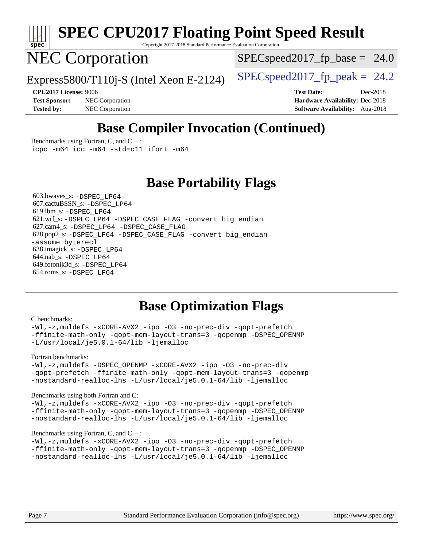

## **[SPEC CPU2017 Floating Point Speed Result](http://www.spec.org/auto/cpu2017/Docs/result-fields.html#SPECCPU2017FloatingPointSpeedResult)**

Copyright 2017-2018 Standard Performance Evaluation Corporation

### NEC Corporation

 $SPECspeed2017_fp\_base = 24.0$ 

Express5800/T110j-S (Intel Xeon E-2124)  $\left|$  [SPECspeed2017\\_fp\\_peak =](http://www.spec.org/auto/cpu2017/Docs/result-fields.html#SPECspeed2017fppeak) 24.2

**[Test Sponsor:](http://www.spec.org/auto/cpu2017/Docs/result-fields.html#TestSponsor)** NEC Corporation **[Hardware Availability:](http://www.spec.org/auto/cpu2017/Docs/result-fields.html#HardwareAvailability)** Dec-2018 **[Tested by:](http://www.spec.org/auto/cpu2017/Docs/result-fields.html#Testedby)** NEC Corporation **[Software Availability:](http://www.spec.org/auto/cpu2017/Docs/result-fields.html#SoftwareAvailability)** Aug-2018

**[CPU2017 License:](http://www.spec.org/auto/cpu2017/Docs/result-fields.html#CPU2017License)** 9006 **[Test Date:](http://www.spec.org/auto/cpu2017/Docs/result-fields.html#TestDate)** Dec-2018

### **[Base Compiler Invocation \(Continued\)](http://www.spec.org/auto/cpu2017/Docs/result-fields.html#BaseCompilerInvocation)**

[Benchmarks using Fortran, C, and C++:](http://www.spec.org/auto/cpu2017/Docs/result-fields.html#BenchmarksusingFortranCandCXX) [icpc -m64](http://www.spec.org/cpu2017/results/res2018q4/cpu2017-20181210-10021.flags.html#user_CC_CXX_FCbase_intel_icpc_64bit_4ecb2543ae3f1412ef961e0650ca070fec7b7afdcd6ed48761b84423119d1bf6bdf5cad15b44d48e7256388bc77273b966e5eb805aefd121eb22e9299b2ec9d9) [icc -m64 -std=c11](http://www.spec.org/cpu2017/results/res2018q4/cpu2017-20181210-10021.flags.html#user_CC_CXX_FCbase_intel_icc_64bit_c11_33ee0cdaae7deeeab2a9725423ba97205ce30f63b9926c2519791662299b76a0318f32ddfffdc46587804de3178b4f9328c46fa7c2b0cd779d7a61945c91cd35) [ifort -m64](http://www.spec.org/cpu2017/results/res2018q4/cpu2017-20181210-10021.flags.html#user_CC_CXX_FCbase_intel_ifort_64bit_24f2bb282fbaeffd6157abe4f878425411749daecae9a33200eee2bee2fe76f3b89351d69a8130dd5949958ce389cf37ff59a95e7a40d588e8d3a57e0c3fd751)

### **[Base Portability Flags](http://www.spec.org/auto/cpu2017/Docs/result-fields.html#BasePortabilityFlags)**

 603.bwaves\_s: [-DSPEC\\_LP64](http://www.spec.org/cpu2017/results/res2018q4/cpu2017-20181210-10021.flags.html#suite_basePORTABILITY603_bwaves_s_DSPEC_LP64) 607.cactuBSSN\_s: [-DSPEC\\_LP64](http://www.spec.org/cpu2017/results/res2018q4/cpu2017-20181210-10021.flags.html#suite_basePORTABILITY607_cactuBSSN_s_DSPEC_LP64) 619.lbm\_s: [-DSPEC\\_LP64](http://www.spec.org/cpu2017/results/res2018q4/cpu2017-20181210-10021.flags.html#suite_basePORTABILITY619_lbm_s_DSPEC_LP64) 621.wrf\_s: [-DSPEC\\_LP64](http://www.spec.org/cpu2017/results/res2018q4/cpu2017-20181210-10021.flags.html#suite_basePORTABILITY621_wrf_s_DSPEC_LP64) [-DSPEC\\_CASE\\_FLAG](http://www.spec.org/cpu2017/results/res2018q4/cpu2017-20181210-10021.flags.html#b621.wrf_s_baseCPORTABILITY_DSPEC_CASE_FLAG) [-convert big\\_endian](http://www.spec.org/cpu2017/results/res2018q4/cpu2017-20181210-10021.flags.html#user_baseFPORTABILITY621_wrf_s_convert_big_endian_c3194028bc08c63ac5d04de18c48ce6d347e4e562e8892b8bdbdc0214820426deb8554edfa529a3fb25a586e65a3d812c835984020483e7e73212c4d31a38223) 627.cam4\_s: [-DSPEC\\_LP64](http://www.spec.org/cpu2017/results/res2018q4/cpu2017-20181210-10021.flags.html#suite_basePORTABILITY627_cam4_s_DSPEC_LP64) [-DSPEC\\_CASE\\_FLAG](http://www.spec.org/cpu2017/results/res2018q4/cpu2017-20181210-10021.flags.html#b627.cam4_s_baseCPORTABILITY_DSPEC_CASE_FLAG) 628.pop2\_s: [-DSPEC\\_LP64](http://www.spec.org/cpu2017/results/res2018q4/cpu2017-20181210-10021.flags.html#suite_basePORTABILITY628_pop2_s_DSPEC_LP64) [-DSPEC\\_CASE\\_FLAG](http://www.spec.org/cpu2017/results/res2018q4/cpu2017-20181210-10021.flags.html#b628.pop2_s_baseCPORTABILITY_DSPEC_CASE_FLAG) [-convert big\\_endian](http://www.spec.org/cpu2017/results/res2018q4/cpu2017-20181210-10021.flags.html#user_baseFPORTABILITY628_pop2_s_convert_big_endian_c3194028bc08c63ac5d04de18c48ce6d347e4e562e8892b8bdbdc0214820426deb8554edfa529a3fb25a586e65a3d812c835984020483e7e73212c4d31a38223) [-assume byterecl](http://www.spec.org/cpu2017/results/res2018q4/cpu2017-20181210-10021.flags.html#user_baseFPORTABILITY628_pop2_s_assume_byterecl_7e47d18b9513cf18525430bbf0f2177aa9bf368bc7a059c09b2c06a34b53bd3447c950d3f8d6c70e3faf3a05c8557d66a5798b567902e8849adc142926523472) 638.imagick\_s: [-DSPEC\\_LP64](http://www.spec.org/cpu2017/results/res2018q4/cpu2017-20181210-10021.flags.html#suite_basePORTABILITY638_imagick_s_DSPEC_LP64) 644.nab\_s: [-DSPEC\\_LP64](http://www.spec.org/cpu2017/results/res2018q4/cpu2017-20181210-10021.flags.html#suite_basePORTABILITY644_nab_s_DSPEC_LP64) 649.fotonik3d\_s: [-DSPEC\\_LP64](http://www.spec.org/cpu2017/results/res2018q4/cpu2017-20181210-10021.flags.html#suite_basePORTABILITY649_fotonik3d_s_DSPEC_LP64) 654.roms\_s: [-DSPEC\\_LP64](http://www.spec.org/cpu2017/results/res2018q4/cpu2017-20181210-10021.flags.html#suite_basePORTABILITY654_roms_s_DSPEC_LP64)

### **[Base Optimization Flags](http://www.spec.org/auto/cpu2017/Docs/result-fields.html#BaseOptimizationFlags)**

#### [C benchmarks](http://www.spec.org/auto/cpu2017/Docs/result-fields.html#Cbenchmarks):

[-Wl,-z,muldefs](http://www.spec.org/cpu2017/results/res2018q4/cpu2017-20181210-10021.flags.html#user_CCbase_link_force_multiple1_b4cbdb97b34bdee9ceefcfe54f4c8ea74255f0b02a4b23e853cdb0e18eb4525ac79b5a88067c842dd0ee6996c24547a27a4b99331201badda8798ef8a743f577) [-xCORE-AVX2](http://www.spec.org/cpu2017/results/res2018q4/cpu2017-20181210-10021.flags.html#user_CCbase_f-xCORE-AVX2) [-ipo](http://www.spec.org/cpu2017/results/res2018q4/cpu2017-20181210-10021.flags.html#user_CCbase_f-ipo) [-O3](http://www.spec.org/cpu2017/results/res2018q4/cpu2017-20181210-10021.flags.html#user_CCbase_f-O3) [-no-prec-div](http://www.spec.org/cpu2017/results/res2018q4/cpu2017-20181210-10021.flags.html#user_CCbase_f-no-prec-div) [-qopt-prefetch](http://www.spec.org/cpu2017/results/res2018q4/cpu2017-20181210-10021.flags.html#user_CCbase_f-qopt-prefetch) [-ffinite-math-only](http://www.spec.org/cpu2017/results/res2018q4/cpu2017-20181210-10021.flags.html#user_CCbase_f_finite_math_only_cb91587bd2077682c4b38af759c288ed7c732db004271a9512da14a4f8007909a5f1427ecbf1a0fb78ff2a814402c6114ac565ca162485bbcae155b5e4258871) [-qopt-mem-layout-trans=3](http://www.spec.org/cpu2017/results/res2018q4/cpu2017-20181210-10021.flags.html#user_CCbase_f-qopt-mem-layout-trans_de80db37974c74b1f0e20d883f0b675c88c3b01e9d123adea9b28688d64333345fb62bc4a798493513fdb68f60282f9a726aa07f478b2f7113531aecce732043) [-qopenmp](http://www.spec.org/cpu2017/results/res2018q4/cpu2017-20181210-10021.flags.html#user_CCbase_qopenmp_16be0c44f24f464004c6784a7acb94aca937f053568ce72f94b139a11c7c168634a55f6653758ddd83bcf7b8463e8028bb0b48b77bcddc6b78d5d95bb1df2967) [-DSPEC\\_OPENMP](http://www.spec.org/cpu2017/results/res2018q4/cpu2017-20181210-10021.flags.html#suite_CCbase_DSPEC_OPENMP) [-L/usr/local/je5.0.1-64/lib](http://www.spec.org/cpu2017/results/res2018q4/cpu2017-20181210-10021.flags.html#user_CCbase_jemalloc_link_path64_4b10a636b7bce113509b17f3bd0d6226c5fb2346b9178c2d0232c14f04ab830f976640479e5c33dc2bcbbdad86ecfb6634cbbd4418746f06f368b512fced5394) [-ljemalloc](http://www.spec.org/cpu2017/results/res2018q4/cpu2017-20181210-10021.flags.html#user_CCbase_jemalloc_link_lib_d1249b907c500fa1c0672f44f562e3d0f79738ae9e3c4a9c376d49f265a04b9c99b167ecedbf6711b3085be911c67ff61f150a17b3472be731631ba4d0471706)

#### [Fortran benchmarks](http://www.spec.org/auto/cpu2017/Docs/result-fields.html#Fortranbenchmarks):

[-Wl,-z,muldefs](http://www.spec.org/cpu2017/results/res2018q4/cpu2017-20181210-10021.flags.html#user_FCbase_link_force_multiple1_b4cbdb97b34bdee9ceefcfe54f4c8ea74255f0b02a4b23e853cdb0e18eb4525ac79b5a88067c842dd0ee6996c24547a27a4b99331201badda8798ef8a743f577) [-DSPEC\\_OPENMP](http://www.spec.org/cpu2017/results/res2018q4/cpu2017-20181210-10021.flags.html#suite_FCbase_DSPEC_OPENMP) [-xCORE-AVX2](http://www.spec.org/cpu2017/results/res2018q4/cpu2017-20181210-10021.flags.html#user_FCbase_f-xCORE-AVX2) [-ipo](http://www.spec.org/cpu2017/results/res2018q4/cpu2017-20181210-10021.flags.html#user_FCbase_f-ipo) [-O3](http://www.spec.org/cpu2017/results/res2018q4/cpu2017-20181210-10021.flags.html#user_FCbase_f-O3) [-no-prec-div](http://www.spec.org/cpu2017/results/res2018q4/cpu2017-20181210-10021.flags.html#user_FCbase_f-no-prec-div) [-qopt-prefetch](http://www.spec.org/cpu2017/results/res2018q4/cpu2017-20181210-10021.flags.html#user_FCbase_f-qopt-prefetch) [-ffinite-math-only](http://www.spec.org/cpu2017/results/res2018q4/cpu2017-20181210-10021.flags.html#user_FCbase_f_finite_math_only_cb91587bd2077682c4b38af759c288ed7c732db004271a9512da14a4f8007909a5f1427ecbf1a0fb78ff2a814402c6114ac565ca162485bbcae155b5e4258871) [-qopt-mem-layout-trans=3](http://www.spec.org/cpu2017/results/res2018q4/cpu2017-20181210-10021.flags.html#user_FCbase_f-qopt-mem-layout-trans_de80db37974c74b1f0e20d883f0b675c88c3b01e9d123adea9b28688d64333345fb62bc4a798493513fdb68f60282f9a726aa07f478b2f7113531aecce732043) [-qopenmp](http://www.spec.org/cpu2017/results/res2018q4/cpu2017-20181210-10021.flags.html#user_FCbase_qopenmp_16be0c44f24f464004c6784a7acb94aca937f053568ce72f94b139a11c7c168634a55f6653758ddd83bcf7b8463e8028bb0b48b77bcddc6b78d5d95bb1df2967) [-nostandard-realloc-lhs](http://www.spec.org/cpu2017/results/res2018q4/cpu2017-20181210-10021.flags.html#user_FCbase_f_2003_std_realloc_82b4557e90729c0f113870c07e44d33d6f5a304b4f63d4c15d2d0f1fab99f5daaed73bdb9275d9ae411527f28b936061aa8b9c8f2d63842963b95c9dd6426b8a) [-L/usr/local/je5.0.1-64/lib](http://www.spec.org/cpu2017/results/res2018q4/cpu2017-20181210-10021.flags.html#user_FCbase_jemalloc_link_path64_4b10a636b7bce113509b17f3bd0d6226c5fb2346b9178c2d0232c14f04ab830f976640479e5c33dc2bcbbdad86ecfb6634cbbd4418746f06f368b512fced5394) [-ljemalloc](http://www.spec.org/cpu2017/results/res2018q4/cpu2017-20181210-10021.flags.html#user_FCbase_jemalloc_link_lib_d1249b907c500fa1c0672f44f562e3d0f79738ae9e3c4a9c376d49f265a04b9c99b167ecedbf6711b3085be911c67ff61f150a17b3472be731631ba4d0471706)

#### [Benchmarks using both Fortran and C](http://www.spec.org/auto/cpu2017/Docs/result-fields.html#BenchmarksusingbothFortranandC):

[-Wl,-z,muldefs](http://www.spec.org/cpu2017/results/res2018q4/cpu2017-20181210-10021.flags.html#user_CC_FCbase_link_force_multiple1_b4cbdb97b34bdee9ceefcfe54f4c8ea74255f0b02a4b23e853cdb0e18eb4525ac79b5a88067c842dd0ee6996c24547a27a4b99331201badda8798ef8a743f577) [-xCORE-AVX2](http://www.spec.org/cpu2017/results/res2018q4/cpu2017-20181210-10021.flags.html#user_CC_FCbase_f-xCORE-AVX2) [-ipo](http://www.spec.org/cpu2017/results/res2018q4/cpu2017-20181210-10021.flags.html#user_CC_FCbase_f-ipo) [-O3](http://www.spec.org/cpu2017/results/res2018q4/cpu2017-20181210-10021.flags.html#user_CC_FCbase_f-O3) [-no-prec-div](http://www.spec.org/cpu2017/results/res2018q4/cpu2017-20181210-10021.flags.html#user_CC_FCbase_f-no-prec-div) [-qopt-prefetch](http://www.spec.org/cpu2017/results/res2018q4/cpu2017-20181210-10021.flags.html#user_CC_FCbase_f-qopt-prefetch) [-ffinite-math-only](http://www.spec.org/cpu2017/results/res2018q4/cpu2017-20181210-10021.flags.html#user_CC_FCbase_f_finite_math_only_cb91587bd2077682c4b38af759c288ed7c732db004271a9512da14a4f8007909a5f1427ecbf1a0fb78ff2a814402c6114ac565ca162485bbcae155b5e4258871) [-qopt-mem-layout-trans=3](http://www.spec.org/cpu2017/results/res2018q4/cpu2017-20181210-10021.flags.html#user_CC_FCbase_f-qopt-mem-layout-trans_de80db37974c74b1f0e20d883f0b675c88c3b01e9d123adea9b28688d64333345fb62bc4a798493513fdb68f60282f9a726aa07f478b2f7113531aecce732043) [-qopenmp](http://www.spec.org/cpu2017/results/res2018q4/cpu2017-20181210-10021.flags.html#user_CC_FCbase_qopenmp_16be0c44f24f464004c6784a7acb94aca937f053568ce72f94b139a11c7c168634a55f6653758ddd83bcf7b8463e8028bb0b48b77bcddc6b78d5d95bb1df2967) [-DSPEC\\_OPENMP](http://www.spec.org/cpu2017/results/res2018q4/cpu2017-20181210-10021.flags.html#suite_CC_FCbase_DSPEC_OPENMP) [-nostandard-realloc-lhs](http://www.spec.org/cpu2017/results/res2018q4/cpu2017-20181210-10021.flags.html#user_CC_FCbase_f_2003_std_realloc_82b4557e90729c0f113870c07e44d33d6f5a304b4f63d4c15d2d0f1fab99f5daaed73bdb9275d9ae411527f28b936061aa8b9c8f2d63842963b95c9dd6426b8a) [-L/usr/local/je5.0.1-64/lib](http://www.spec.org/cpu2017/results/res2018q4/cpu2017-20181210-10021.flags.html#user_CC_FCbase_jemalloc_link_path64_4b10a636b7bce113509b17f3bd0d6226c5fb2346b9178c2d0232c14f04ab830f976640479e5c33dc2bcbbdad86ecfb6634cbbd4418746f06f368b512fced5394) [-ljemalloc](http://www.spec.org/cpu2017/results/res2018q4/cpu2017-20181210-10021.flags.html#user_CC_FCbase_jemalloc_link_lib_d1249b907c500fa1c0672f44f562e3d0f79738ae9e3c4a9c376d49f265a04b9c99b167ecedbf6711b3085be911c67ff61f150a17b3472be731631ba4d0471706)

### [Benchmarks using Fortran, C, and C++:](http://www.spec.org/auto/cpu2017/Docs/result-fields.html#BenchmarksusingFortranCandCXX)

[-Wl,-z,muldefs](http://www.spec.org/cpu2017/results/res2018q4/cpu2017-20181210-10021.flags.html#user_CC_CXX_FCbase_link_force_multiple1_b4cbdb97b34bdee9ceefcfe54f4c8ea74255f0b02a4b23e853cdb0e18eb4525ac79b5a88067c842dd0ee6996c24547a27a4b99331201badda8798ef8a743f577) [-xCORE-AVX2](http://www.spec.org/cpu2017/results/res2018q4/cpu2017-20181210-10021.flags.html#user_CC_CXX_FCbase_f-xCORE-AVX2) [-ipo](http://www.spec.org/cpu2017/results/res2018q4/cpu2017-20181210-10021.flags.html#user_CC_CXX_FCbase_f-ipo) [-O3](http://www.spec.org/cpu2017/results/res2018q4/cpu2017-20181210-10021.flags.html#user_CC_CXX_FCbase_f-O3) [-no-prec-div](http://www.spec.org/cpu2017/results/res2018q4/cpu2017-20181210-10021.flags.html#user_CC_CXX_FCbase_f-no-prec-div) [-qopt-prefetch](http://www.spec.org/cpu2017/results/res2018q4/cpu2017-20181210-10021.flags.html#user_CC_CXX_FCbase_f-qopt-prefetch) [-ffinite-math-only](http://www.spec.org/cpu2017/results/res2018q4/cpu2017-20181210-10021.flags.html#user_CC_CXX_FCbase_f_finite_math_only_cb91587bd2077682c4b38af759c288ed7c732db004271a9512da14a4f8007909a5f1427ecbf1a0fb78ff2a814402c6114ac565ca162485bbcae155b5e4258871) [-qopt-mem-layout-trans=3](http://www.spec.org/cpu2017/results/res2018q4/cpu2017-20181210-10021.flags.html#user_CC_CXX_FCbase_f-qopt-mem-layout-trans_de80db37974c74b1f0e20d883f0b675c88c3b01e9d123adea9b28688d64333345fb62bc4a798493513fdb68f60282f9a726aa07f478b2f7113531aecce732043) [-qopenmp](http://www.spec.org/cpu2017/results/res2018q4/cpu2017-20181210-10021.flags.html#user_CC_CXX_FCbase_qopenmp_16be0c44f24f464004c6784a7acb94aca937f053568ce72f94b139a11c7c168634a55f6653758ddd83bcf7b8463e8028bb0b48b77bcddc6b78d5d95bb1df2967) [-DSPEC\\_OPENMP](http://www.spec.org/cpu2017/results/res2018q4/cpu2017-20181210-10021.flags.html#suite_CC_CXX_FCbase_DSPEC_OPENMP) [-nostandard-realloc-lhs](http://www.spec.org/cpu2017/results/res2018q4/cpu2017-20181210-10021.flags.html#user_CC_CXX_FCbase_f_2003_std_realloc_82b4557e90729c0f113870c07e44d33d6f5a304b4f63d4c15d2d0f1fab99f5daaed73bdb9275d9ae411527f28b936061aa8b9c8f2d63842963b95c9dd6426b8a) [-L/usr/local/je5.0.1-64/lib](http://www.spec.org/cpu2017/results/res2018q4/cpu2017-20181210-10021.flags.html#user_CC_CXX_FCbase_jemalloc_link_path64_4b10a636b7bce113509b17f3bd0d6226c5fb2346b9178c2d0232c14f04ab830f976640479e5c33dc2bcbbdad86ecfb6634cbbd4418746f06f368b512fced5394) [-ljemalloc](http://www.spec.org/cpu2017/results/res2018q4/cpu2017-20181210-10021.flags.html#user_CC_CXX_FCbase_jemalloc_link_lib_d1249b907c500fa1c0672f44f562e3d0f79738ae9e3c4a9c376d49f265a04b9c99b167ecedbf6711b3085be911c67ff61f150a17b3472be731631ba4d0471706)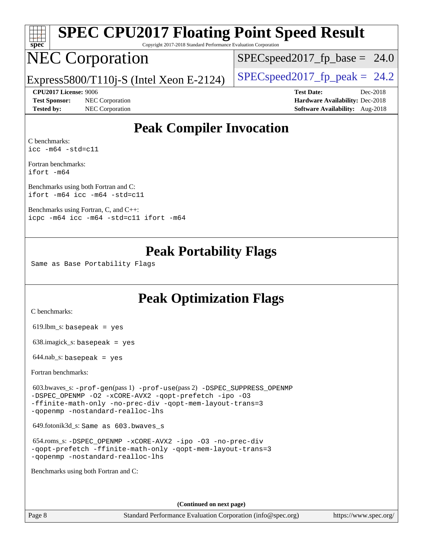

# **[SPEC CPU2017 Floating Point Speed Result](http://www.spec.org/auto/cpu2017/Docs/result-fields.html#SPECCPU2017FloatingPointSpeedResult)**

Copyright 2017-2018 Standard Performance Evaluation Corporation

## NEC Corporation

 $SPECspeed2017_fp\_base = 24.0$ 

Express5800/T110j-S (Intel Xeon E-2124) [SPECspeed2017\\_fp\\_peak =](http://www.spec.org/auto/cpu2017/Docs/result-fields.html#SPECspeed2017fppeak) 24.2

**[Test Sponsor:](http://www.spec.org/auto/cpu2017/Docs/result-fields.html#TestSponsor)** NEC Corporation **[Hardware Availability:](http://www.spec.org/auto/cpu2017/Docs/result-fields.html#HardwareAvailability)** Dec-2018

**[CPU2017 License:](http://www.spec.org/auto/cpu2017/Docs/result-fields.html#CPU2017License)** 9006 **[Test Date:](http://www.spec.org/auto/cpu2017/Docs/result-fields.html#TestDate)** Dec-2018 **[Tested by:](http://www.spec.org/auto/cpu2017/Docs/result-fields.html#Testedby)** NEC Corporation **[Software Availability:](http://www.spec.org/auto/cpu2017/Docs/result-fields.html#SoftwareAvailability)** Aug-2018

### **[Peak Compiler Invocation](http://www.spec.org/auto/cpu2017/Docs/result-fields.html#PeakCompilerInvocation)**

[C benchmarks](http://www.spec.org/auto/cpu2017/Docs/result-fields.html#Cbenchmarks): [icc -m64 -std=c11](http://www.spec.org/cpu2017/results/res2018q4/cpu2017-20181210-10021.flags.html#user_CCpeak_intel_icc_64bit_c11_33ee0cdaae7deeeab2a9725423ba97205ce30f63b9926c2519791662299b76a0318f32ddfffdc46587804de3178b4f9328c46fa7c2b0cd779d7a61945c91cd35)

[Fortran benchmarks](http://www.spec.org/auto/cpu2017/Docs/result-fields.html#Fortranbenchmarks): [ifort -m64](http://www.spec.org/cpu2017/results/res2018q4/cpu2017-20181210-10021.flags.html#user_FCpeak_intel_ifort_64bit_24f2bb282fbaeffd6157abe4f878425411749daecae9a33200eee2bee2fe76f3b89351d69a8130dd5949958ce389cf37ff59a95e7a40d588e8d3a57e0c3fd751)

[Benchmarks using both Fortran and C](http://www.spec.org/auto/cpu2017/Docs/result-fields.html#BenchmarksusingbothFortranandC): [ifort -m64](http://www.spec.org/cpu2017/results/res2018q4/cpu2017-20181210-10021.flags.html#user_CC_FCpeak_intel_ifort_64bit_24f2bb282fbaeffd6157abe4f878425411749daecae9a33200eee2bee2fe76f3b89351d69a8130dd5949958ce389cf37ff59a95e7a40d588e8d3a57e0c3fd751) [icc -m64 -std=c11](http://www.spec.org/cpu2017/results/res2018q4/cpu2017-20181210-10021.flags.html#user_CC_FCpeak_intel_icc_64bit_c11_33ee0cdaae7deeeab2a9725423ba97205ce30f63b9926c2519791662299b76a0318f32ddfffdc46587804de3178b4f9328c46fa7c2b0cd779d7a61945c91cd35)

[Benchmarks using Fortran, C, and C++:](http://www.spec.org/auto/cpu2017/Docs/result-fields.html#BenchmarksusingFortranCandCXX) [icpc -m64](http://www.spec.org/cpu2017/results/res2018q4/cpu2017-20181210-10021.flags.html#user_CC_CXX_FCpeak_intel_icpc_64bit_4ecb2543ae3f1412ef961e0650ca070fec7b7afdcd6ed48761b84423119d1bf6bdf5cad15b44d48e7256388bc77273b966e5eb805aefd121eb22e9299b2ec9d9) [icc -m64 -std=c11](http://www.spec.org/cpu2017/results/res2018q4/cpu2017-20181210-10021.flags.html#user_CC_CXX_FCpeak_intel_icc_64bit_c11_33ee0cdaae7deeeab2a9725423ba97205ce30f63b9926c2519791662299b76a0318f32ddfffdc46587804de3178b4f9328c46fa7c2b0cd779d7a61945c91cd35) [ifort -m64](http://www.spec.org/cpu2017/results/res2018q4/cpu2017-20181210-10021.flags.html#user_CC_CXX_FCpeak_intel_ifort_64bit_24f2bb282fbaeffd6157abe4f878425411749daecae9a33200eee2bee2fe76f3b89351d69a8130dd5949958ce389cf37ff59a95e7a40d588e8d3a57e0c3fd751)

### **[Peak Portability Flags](http://www.spec.org/auto/cpu2017/Docs/result-fields.html#PeakPortabilityFlags)**

Same as Base Portability Flags

### **[Peak Optimization Flags](http://www.spec.org/auto/cpu2017/Docs/result-fields.html#PeakOptimizationFlags)**

[C benchmarks](http://www.spec.org/auto/cpu2017/Docs/result-fields.html#Cbenchmarks):

619.lbm\_s: basepeak = yes

638.imagick\_s: basepeak = yes

 $644$ .nab\_s: basepeak = yes

[Fortran benchmarks](http://www.spec.org/auto/cpu2017/Docs/result-fields.html#Fortranbenchmarks):

 603.bwaves\_s: [-prof-gen](http://www.spec.org/cpu2017/results/res2018q4/cpu2017-20181210-10021.flags.html#user_peakPASS1_FFLAGSPASS1_LDFLAGS603_bwaves_s_prof_gen_5aa4926d6013ddb2a31985c654b3eb18169fc0c6952a63635c234f711e6e63dd76e94ad52365559451ec499a2cdb89e4dc58ba4c67ef54ca681ffbe1461d6b36)(pass 1) [-prof-use](http://www.spec.org/cpu2017/results/res2018q4/cpu2017-20181210-10021.flags.html#user_peakPASS2_FFLAGSPASS2_LDFLAGS603_bwaves_s_prof_use_1a21ceae95f36a2b53c25747139a6c16ca95bd9def2a207b4f0849963b97e94f5260e30a0c64f4bb623698870e679ca08317ef8150905d41bd88c6f78df73f19)(pass 2) [-DSPEC\\_SUPPRESS\\_OPENMP](http://www.spec.org/cpu2017/results/res2018q4/cpu2017-20181210-10021.flags.html#suite_peakPASS1_FOPTIMIZE603_bwaves_s_DSPEC_SUPPRESS_OPENMP) [-DSPEC\\_OPENMP](http://www.spec.org/cpu2017/results/res2018q4/cpu2017-20181210-10021.flags.html#suite_peakPASS2_FOPTIMIZE603_bwaves_s_DSPEC_OPENMP) [-O2](http://www.spec.org/cpu2017/results/res2018q4/cpu2017-20181210-10021.flags.html#user_peakPASS1_FOPTIMIZE603_bwaves_s_f-O2) [-xCORE-AVX2](http://www.spec.org/cpu2017/results/res2018q4/cpu2017-20181210-10021.flags.html#user_peakPASS2_FOPTIMIZE603_bwaves_s_f-xCORE-AVX2) [-qopt-prefetch](http://www.spec.org/cpu2017/results/res2018q4/cpu2017-20181210-10021.flags.html#user_peakPASS1_FOPTIMIZEPASS2_FOPTIMIZE603_bwaves_s_f-qopt-prefetch) [-ipo](http://www.spec.org/cpu2017/results/res2018q4/cpu2017-20181210-10021.flags.html#user_peakPASS2_FOPTIMIZE603_bwaves_s_f-ipo) [-O3](http://www.spec.org/cpu2017/results/res2018q4/cpu2017-20181210-10021.flags.html#user_peakPASS2_FOPTIMIZE603_bwaves_s_f-O3) [-ffinite-math-only](http://www.spec.org/cpu2017/results/res2018q4/cpu2017-20181210-10021.flags.html#user_peakPASS1_FOPTIMIZEPASS2_FOPTIMIZE603_bwaves_s_f_finite_math_only_cb91587bd2077682c4b38af759c288ed7c732db004271a9512da14a4f8007909a5f1427ecbf1a0fb78ff2a814402c6114ac565ca162485bbcae155b5e4258871) [-no-prec-div](http://www.spec.org/cpu2017/results/res2018q4/cpu2017-20181210-10021.flags.html#user_peakPASS2_FOPTIMIZE603_bwaves_s_f-no-prec-div) [-qopt-mem-layout-trans=3](http://www.spec.org/cpu2017/results/res2018q4/cpu2017-20181210-10021.flags.html#user_peakPASS1_FOPTIMIZEPASS2_FOPTIMIZE603_bwaves_s_f-qopt-mem-layout-trans_de80db37974c74b1f0e20d883f0b675c88c3b01e9d123adea9b28688d64333345fb62bc4a798493513fdb68f60282f9a726aa07f478b2f7113531aecce732043) [-qopenmp](http://www.spec.org/cpu2017/results/res2018q4/cpu2017-20181210-10021.flags.html#user_peakPASS2_FOPTIMIZE603_bwaves_s_qopenmp_16be0c44f24f464004c6784a7acb94aca937f053568ce72f94b139a11c7c168634a55f6653758ddd83bcf7b8463e8028bb0b48b77bcddc6b78d5d95bb1df2967) [-nostandard-realloc-lhs](http://www.spec.org/cpu2017/results/res2018q4/cpu2017-20181210-10021.flags.html#user_peakEXTRA_FOPTIMIZE603_bwaves_s_f_2003_std_realloc_82b4557e90729c0f113870c07e44d33d6f5a304b4f63d4c15d2d0f1fab99f5daaed73bdb9275d9ae411527f28b936061aa8b9c8f2d63842963b95c9dd6426b8a)

649.fotonik3d\_s: Same as 603.bwaves\_s

 654.roms\_s: [-DSPEC\\_OPENMP](http://www.spec.org/cpu2017/results/res2018q4/cpu2017-20181210-10021.flags.html#suite_peakFOPTIMIZE654_roms_s_DSPEC_OPENMP) [-xCORE-AVX2](http://www.spec.org/cpu2017/results/res2018q4/cpu2017-20181210-10021.flags.html#user_peakFOPTIMIZE654_roms_s_f-xCORE-AVX2) [-ipo](http://www.spec.org/cpu2017/results/res2018q4/cpu2017-20181210-10021.flags.html#user_peakFOPTIMIZE654_roms_s_f-ipo) [-O3](http://www.spec.org/cpu2017/results/res2018q4/cpu2017-20181210-10021.flags.html#user_peakFOPTIMIZE654_roms_s_f-O3) [-no-prec-div](http://www.spec.org/cpu2017/results/res2018q4/cpu2017-20181210-10021.flags.html#user_peakFOPTIMIZE654_roms_s_f-no-prec-div) [-qopt-prefetch](http://www.spec.org/cpu2017/results/res2018q4/cpu2017-20181210-10021.flags.html#user_peakFOPTIMIZE654_roms_s_f-qopt-prefetch) [-ffinite-math-only](http://www.spec.org/cpu2017/results/res2018q4/cpu2017-20181210-10021.flags.html#user_peakFOPTIMIZE654_roms_s_f_finite_math_only_cb91587bd2077682c4b38af759c288ed7c732db004271a9512da14a4f8007909a5f1427ecbf1a0fb78ff2a814402c6114ac565ca162485bbcae155b5e4258871) [-qopt-mem-layout-trans=3](http://www.spec.org/cpu2017/results/res2018q4/cpu2017-20181210-10021.flags.html#user_peakFOPTIMIZE654_roms_s_f-qopt-mem-layout-trans_de80db37974c74b1f0e20d883f0b675c88c3b01e9d123adea9b28688d64333345fb62bc4a798493513fdb68f60282f9a726aa07f478b2f7113531aecce732043) [-qopenmp](http://www.spec.org/cpu2017/results/res2018q4/cpu2017-20181210-10021.flags.html#user_peakFOPTIMIZE654_roms_s_qopenmp_16be0c44f24f464004c6784a7acb94aca937f053568ce72f94b139a11c7c168634a55f6653758ddd83bcf7b8463e8028bb0b48b77bcddc6b78d5d95bb1df2967) [-nostandard-realloc-lhs](http://www.spec.org/cpu2017/results/res2018q4/cpu2017-20181210-10021.flags.html#user_peakEXTRA_FOPTIMIZE654_roms_s_f_2003_std_realloc_82b4557e90729c0f113870c07e44d33d6f5a304b4f63d4c15d2d0f1fab99f5daaed73bdb9275d9ae411527f28b936061aa8b9c8f2d63842963b95c9dd6426b8a)

[Benchmarks using both Fortran and C](http://www.spec.org/auto/cpu2017/Docs/result-fields.html#BenchmarksusingbothFortranandC):

**(Continued on next page)**